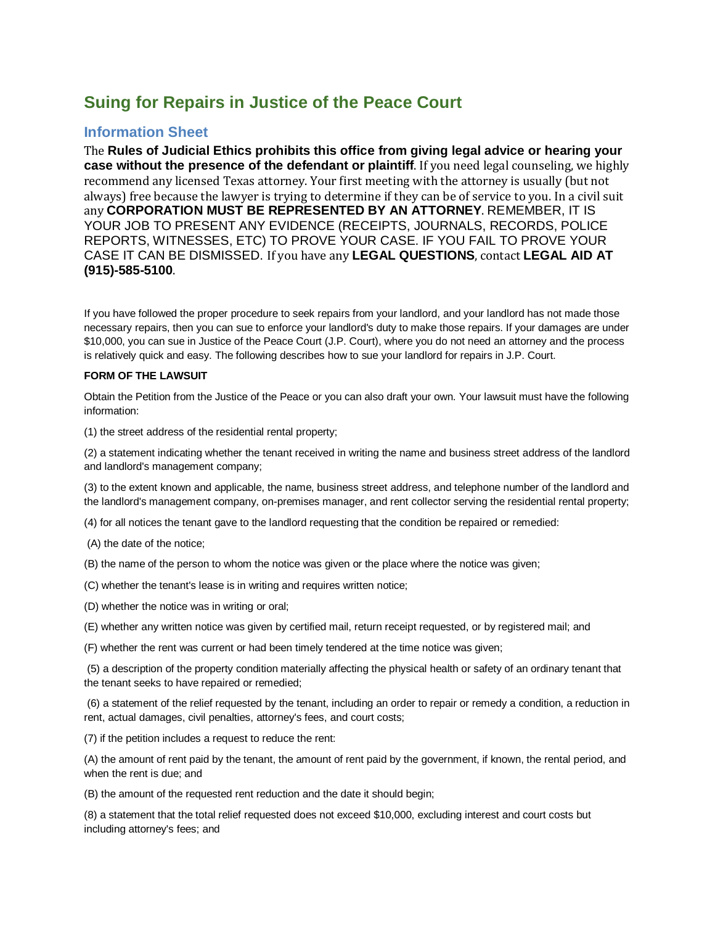# **Suing for Repairs in Justice of the Peace Court**

## **Information Sheet**

The **Rules of Judicial Ethics prohibits this office from giving legal advice or hearing your case without the presence of the defendant or plaintiff**. If you need legal counseling, we highly recommend any licensed Texas attorney. Your first meeting with the attorney is usually (but not always) free because the lawyer is trying to determine if they can be of service to you. In a civil suit any **CORPORATION MUST BE REPRESENTED BY AN ATTORNEY**. REMEMBER, IT IS YOUR JOB TO PRESENT ANY EVIDENCE (RECEIPTS, JOURNALS, RECORDS, POLICE REPORTS, WITNESSES, ETC) TO PROVE YOUR CASE. IF YOU FAIL TO PROVE YOUR CASE IT CAN BE DISMISSED. If you have any **LEGAL QUESTIONS**, contact **LEGAL AID AT (915)-585-5100**.

If you have followed the proper procedure to seek repairs from your landlord, and your landlord has not made those necessary repairs, then you can sue to enforce your landlord's duty to make those repairs. If your damages are under \$10,000, you can sue in Justice of the Peace Court (J.P. Court), where you do not need an attorney and the process is relatively quick and easy. The following describes how to sue your landlord for repairs in J.P. Court.

### **FORM OF THE LAWSUIT**

Obtain the Petition from the Justice of the Peace or you can also draft your own. Your lawsuit must have the following information:

(1) the street address of the residential rental property;

(2) a statement indicating whether the tenant received in writing the name and business street address of the landlord and landlord's management company;

(3) to the extent known and applicable, the name, business street address, and telephone number of the landlord and the landlord's management company, on-premises manager, and rent collector serving the residential rental property;

(4) for all notices the tenant gave to the landlord requesting that the condition be repaired or remedied:

- (A) the date of the notice;
- (B) the name of the person to whom the notice was given or the place where the notice was given;
- (C) whether the tenant's lease is in writing and requires written notice;
- (D) whether the notice was in writing or oral;
- (E) whether any written notice was given by certified mail, return receipt requested, or by registered mail; and
- (F) whether the rent was current or had been timely tendered at the time notice was given;

(5) a description of the property condition materially affecting the physical health or safety of an ordinary tenant that the tenant seeks to have repaired or remedied;

(6) a statement of the relief requested by the tenant, including an order to repair or remedy a condition, a reduction in rent, actual damages, civil penalties, attorney's fees, and court costs;

(7) if the petition includes a request to reduce the rent:

(A) the amount of rent paid by the tenant, the amount of rent paid by the government, if known, the rental period, and when the rent is due; and

(B) the amount of the requested rent reduction and the date it should begin;

(8) a statement that the total relief requested does not exceed \$10,000, excluding interest and court costs but including attorney's fees; and